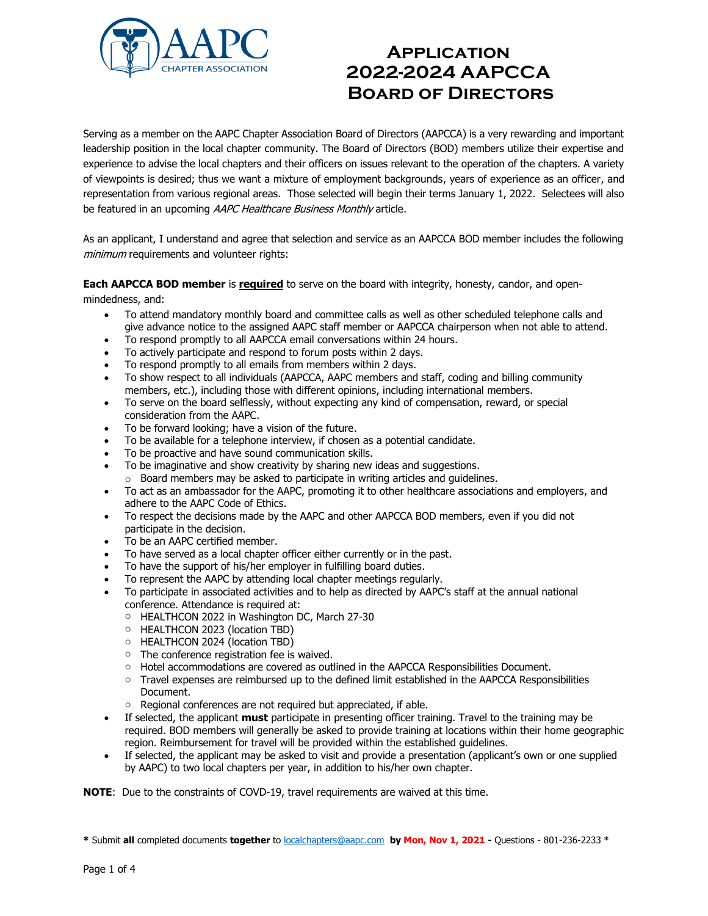

Serving as a member on the AAPC Chapter Association Board of Directors (AAPCCA) is a very rewarding and important leadership position in the local chapter community. The Board of Directors (BOD) members utilize their expertise and experience to advise the local chapters and their officers on issues relevant to the operation of the chapters. A variety of viewpoints is desired; thus we want a mixture of employment backgrounds, years of experience as an officer, and representation from various regional areas. Those selected will begin their terms January 1, 2022. Selectees will also be featured in an upcoming AAPC Healthcare Business Monthly article.

As an applicant, I understand and agree that selection and service as an AAPCCA BOD member includes the following minimum requirements and volunteer rights:

**Each AAPCCA BOD member** is **required** to serve on the board with integrity, honesty, candor, and open-

mindedness, and:

- To attend mandatory monthly board and committee calls as well as other scheduled telephone calls and give advance notice to the assigned AAPC staff member or AAPCCA chairperson when not able to attend.
- To respond promptly to all AAPCCA email conversations within 24 hours.
- To actively participate and respond to forum posts within 2 days.
- To respond promptly to all emails from members within 2 days.
- To show respect to all individuals (AAPCCA, AAPC members and staff, coding and billing community members, etc.), including those with different opinions, including international members.
- To serve on the board selflessly, without expecting any kind of compensation, reward, or special consideration from the AAPC.
- To be forward looking; have a vision of the future.
- To be available for a telephone interview, if chosen as a potential candidate.
- To be proactive and have sound communication skills.
- To be imaginative and show creativity by sharing new ideas and suggestions.
- o Board members may be asked to participate in writing articles and guidelines.
- To act as an ambassador for the AAPC, promoting it to other healthcare associations and employers, and adhere to the AAPC Code of Ethics.
- To respect the decisions made by the AAPC and other AAPCCA BOD members, even if you did not participate in the decision.
- To be an AAPC certified member.
- To have served as a local chapter officer either currently or in the past.
- To have the support of his/her employer in fulfilling board duties.
- To represent the AAPC by attending local chapter meetings regularly.
- To participate in associated activities and to help as directed by AAPC's staff at the annual national conference. Attendance is required at:
	- o HEALTHCON 2022 in Washington DC, March 27-30
	- o HEALTHCON 2023 (location TBD)
	- o HEALTHCON 2024 (location TBD)
	- o The conference registration fee is waived.
	- o Hotel accommodations are covered as outlined in the AAPCCA Responsibilities Document.
	- o Travel expenses are reimbursed up to the defined limit established in the AAPCCA Responsibilities Document.
	- o Regional conferences are not required but appreciated, if able.
- If selected, the applicant **must** participate in presenting officer training. Travel to the training may be required. BOD members will generally be asked to provide training at locations within their home geographic region. Reimbursement for travel will be provided within the established guidelines.
- If selected, the applicant may be asked to visit and provide a presentation (applicant's own or one supplied by AAPC) to two local chapters per year, in addition to his/her own chapter.

**NOTE**: Due to the constraints of COVD-19, travel requirements are waived at this time.

**<sup>\*</sup>** Submit **all** completed documents **together** t[o localchapters@aapc.com](mailto:localchapters@aapc.com) **by Mon, Nov 1, 2021 -** Questions - 801-236-2233 \*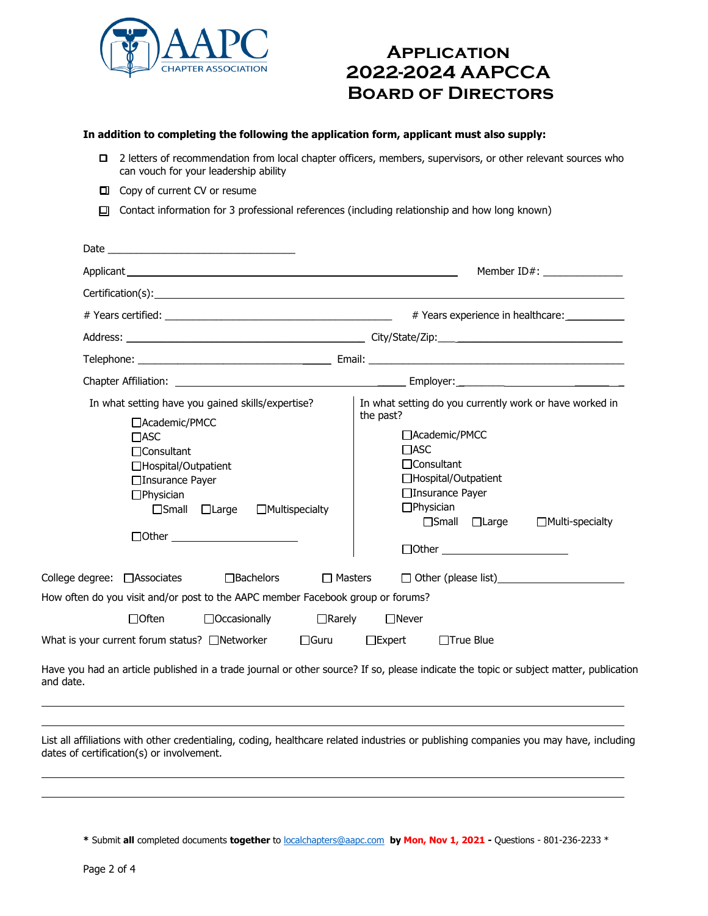

### **In addition to completing the following the application form, applicant must also supply:**

- ❑ 2 letters of recommendation from local chapter officers, members, supervisors, or other relevant sources who can vouch for your leadership ability
- ❑ Copy of current CV or resume
- ❑ Contact information for 3 professional references (including relationship and how long known)

|                                                                                                                                                                                                                                | Member ID#: _______________                                                                                                                                                                                                                                                 |  |  |
|--------------------------------------------------------------------------------------------------------------------------------------------------------------------------------------------------------------------------------|-----------------------------------------------------------------------------------------------------------------------------------------------------------------------------------------------------------------------------------------------------------------------------|--|--|
| Certification(s): the contract of the contract of the contract of the contract of the contract of the contract of the contract of the contract of the contract of the contract of the contract of the contract of the contract |                                                                                                                                                                                                                                                                             |  |  |
|                                                                                                                                                                                                                                | # Years experience in healthcare:                                                                                                                                                                                                                                           |  |  |
|                                                                                                                                                                                                                                |                                                                                                                                                                                                                                                                             |  |  |
|                                                                                                                                                                                                                                |                                                                                                                                                                                                                                                                             |  |  |
|                                                                                                                                                                                                                                |                                                                                                                                                                                                                                                                             |  |  |
| In what setting have you gained skills/expertise?<br>□Academic/PMCC<br>$\Box$ ASC<br>$\Box$ Consultant<br>□Hospital/Outpatient<br>□Insurance Payer<br>$\Box$ Physician<br>$\Box$ Small $\Box$ Large<br>$\Box$ Multispecialty   | In what setting do you currently work or have worked in<br>the past?<br>□Academic/PMCC<br>$\Box$ ASC<br>□Consultant<br>□Hospital/Outpatient<br>□Insurance Payer<br>$\Box$ Physician<br>□Small □Large<br>$\Box$ Multi-specialty<br>$\Box$ Other $\_\_\_\_\_\_\_\_\_\_\_\_\_$ |  |  |
| College degree: □ Associates<br>$\Box$ Bachelors<br>$\Box$ Masters                                                                                                                                                             |                                                                                                                                                                                                                                                                             |  |  |
| How often do you visit and/or post to the AAPC member Facebook group or forums?                                                                                                                                                |                                                                                                                                                                                                                                                                             |  |  |
| $\Box$ Often<br>$\Box$ Occasionally<br>$\Box$ Rarely                                                                                                                                                                           | $\Box$ Never                                                                                                                                                                                                                                                                |  |  |
| What is your current forum status? □Networker<br>$\Box$ Guru                                                                                                                                                                   | $\square$ Expert<br>$\Box$ True Blue                                                                                                                                                                                                                                        |  |  |
| Have you had an article published in a trade journal or other source? If so, please indicate the topic or subject matter, publication<br>and date.                                                                             |                                                                                                                                                                                                                                                                             |  |  |

List all affiliations with other credentialing, coding, healthcare related industries or publishing companies you may have, including dates of certification(s) or involvement.

**<sup>\*</sup>** Submit **all** completed documents **together** t[o localchapters@aapc.com](mailto:localchapters@aapc.com) **by Mon, Nov 1, 2021 -** Questions - 801-236-2233 \*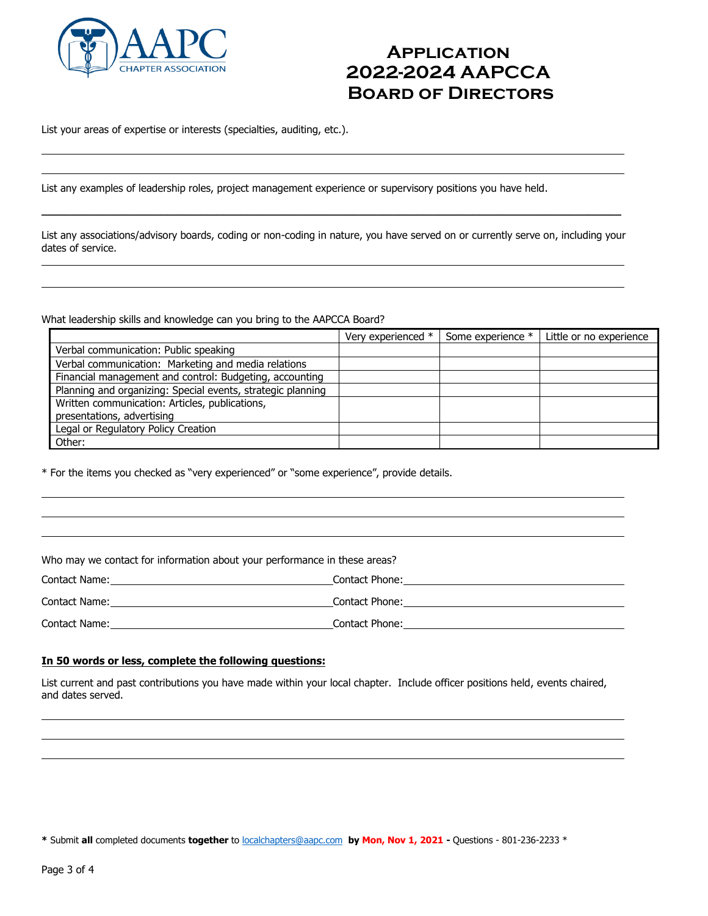

List your areas of expertise or interests (specialties, auditing, etc.).

List any examples of leadership roles, project management experience or supervisory positions you have held.

List any associations/advisory boards, coding or non-coding in nature, you have served on or currently serve on, including your dates of service.

 $\_$  ,  $\_$  ,  $\_$  ,  $\_$  ,  $\_$  ,  $\_$  ,  $\_$  ,  $\_$  ,  $\_$  ,  $\_$  ,  $\_$  ,  $\_$  ,  $\_$  ,  $\_$  ,  $\_$  ,  $\_$  ,  $\_$  ,  $\_$  ,  $\_$  ,  $\_$  ,  $\_$  ,  $\_$  ,  $\_$  ,  $\_$  ,  $\_$  ,  $\_$  ,  $\_$  ,  $\_$  ,  $\_$  ,  $\_$  ,  $\_$  ,  $\_$  ,  $\_$  ,  $\_$  ,  $\_$  ,  $\_$  ,  $\_$  ,

What leadership skills and knowledge can you bring to the AAPCCA Board?

|                                                             | Very experienced * | Some experience * | Little or no experience |
|-------------------------------------------------------------|--------------------|-------------------|-------------------------|
| Verbal communication: Public speaking                       |                    |                   |                         |
| Verbal communication: Marketing and media relations         |                    |                   |                         |
| Financial management and control: Budgeting, accounting     |                    |                   |                         |
| Planning and organizing: Special events, strategic planning |                    |                   |                         |
| Written communication: Articles, publications,              |                    |                   |                         |
| presentations, advertising                                  |                    |                   |                         |
| Legal or Regulatory Policy Creation                         |                    |                   |                         |
| Other:                                                      |                    |                   |                         |

\* For the items you checked as "very experienced" or "some experience", provide details.

Who may we contact for information about your performance in these areas?

| Contact Name: | Contact Phone: |
|---------------|----------------|
| Contact Name: | Contact Phone: |
| Contact Name: | Contact Phone: |

### **In 50 words or less, complete the following questions:**

List current and past contributions you have made within your local chapter. Include officer positions held, events chaired, and dates served.

**\*** Submit **all** completed documents **together** t[o localchapters@aapc.com](mailto:localchapters@aapc.com) **by Mon, Nov 1, 2021 -** Questions - 801-236-2233 \*